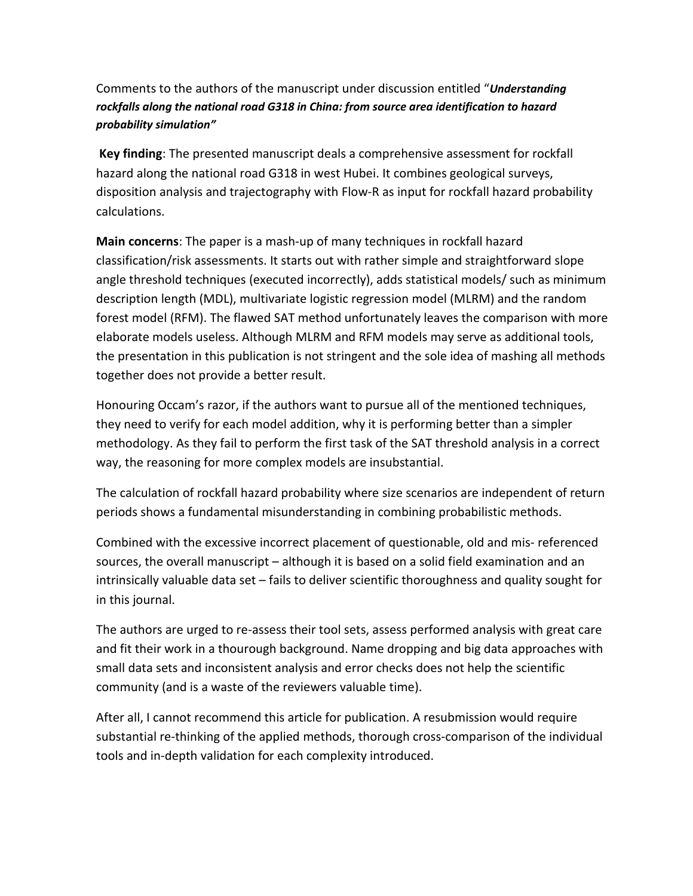## Comments to the authors of the manuscript under discussion entitled "*Understanding rockfalls along the national road G318 in China: from source area identification to hazard probability simulation"*

**Key finding**: The presented manuscript deals a comprehensive assessment for rockfall hazard along the national road G318 in west Hubei. It combines geological surveys, disposition analysis and trajectography with Flow-R as input for rockfall hazard probability calculations.

**Main concerns**: The paper is a mash-up of many techniques in rockfall hazard classification/risk assessments. It starts out with rather simple and straightforward slope angle threshold techniques (executed incorrectly), adds statistical models/ such as minimum description length (MDL), multivariate logistic regression model (MLRM) and the random forest model (RFM). The flawed SAT method unfortunately leaves the comparison with more elaborate models useless. Although MLRM and RFM models may serve as additional tools, the presentation in this publication is not stringent and the sole idea of mashing all methods together does not provide a better result.

Honouring Occam's razor, if the authors want to pursue all of the mentioned techniques, they need to verify for each model addition, why it is performing better than a simpler methodology. As they fail to perform the first task of the SAT threshold analysis in a correct way, the reasoning for more complex models are insubstantial.

The calculation of rockfall hazard probability where size scenarios are independent of return periods shows a fundamental misunderstanding in combining probabilistic methods.

Combined with the excessive incorrect placement of questionable, old and mis- referenced sources, the overall manuscript – although it is based on a solid field examination and an intrinsically valuable data set – fails to deliver scientific thoroughness and quality sought for in this journal.

The authors are urged to re-assess their tool sets, assess performed analysis with great care and fit their work in a thourough background. Name dropping and big data approaches with small data sets and inconsistent analysis and error checks does not help the scientific community (and is a waste of the reviewers valuable time).

After all, I cannot recommend this article for publication. A resubmission would require substantial re-thinking of the applied methods, thorough cross-comparison of the individual tools and in-depth validation for each complexity introduced.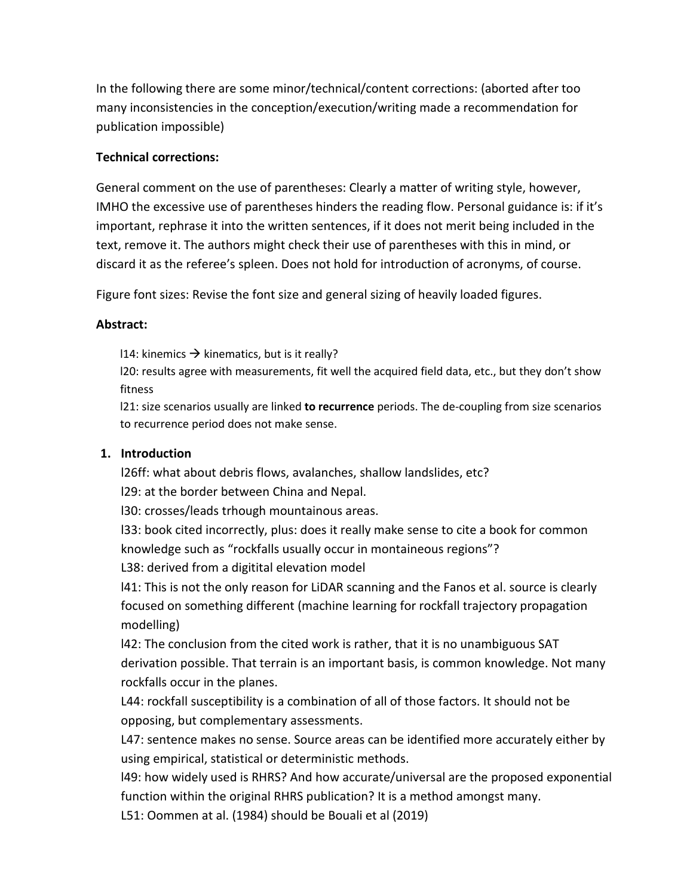In the following there are some minor/technical/content corrections: (aborted after too many inconsistencies in the conception/execution/writing made a recommendation for publication impossible)

### **Technical corrections:**

General comment on the use of parentheses: Clearly a matter of writing style, however, IMHO the excessive use of parentheses hinders the reading flow. Personal guidance is: if it's important, rephrase it into the written sentences, if it does not merit being included in the text, remove it. The authors might check their use of parentheses with this in mind, or discard it as the referee's spleen. Does not hold for introduction of acronyms, of course.

Figure font sizes: Revise the font size and general sizing of heavily loaded figures.

#### **Abstract:**

114: kinemics  $\rightarrow$  kinematics, but is it really?

l20: results agree with measurements, fit well the acquired field data, etc., but they don't show fitness

l21: size scenarios usually are linked **to recurrence** periods. The de-coupling from size scenarios to recurrence period does not make sense.

#### **1. Introduction**

l26ff: what about debris flows, avalanches, shallow landslides, etc?

l29: at the border between China and Nepal.

l30: crosses/leads trhough mountainous areas.

l33: book cited incorrectly, plus: does it really make sense to cite a book for common knowledge such as "rockfalls usually occur in montaineous regions"?

L38: derived from a digitital elevation model

l41: This is not the only reason for LiDAR scanning and the Fanos et al. source is clearly focused on something different (machine learning for rockfall trajectory propagation modelling)

l42: The conclusion from the cited work is rather, that it is no unambiguous SAT derivation possible. That terrain is an important basis, is common knowledge. Not many rockfalls occur in the planes.

L44: rockfall susceptibility is a combination of all of those factors. It should not be opposing, but complementary assessments.

L47: sentence makes no sense. Source areas can be identified more accurately either by using empirical, statistical or deterministic methods.

l49: how widely used is RHRS? And how accurate/universal are the proposed exponential function within the original RHRS publication? It is a method amongst many.

L51: Oommen at al. (1984) should be Bouali et al (2019)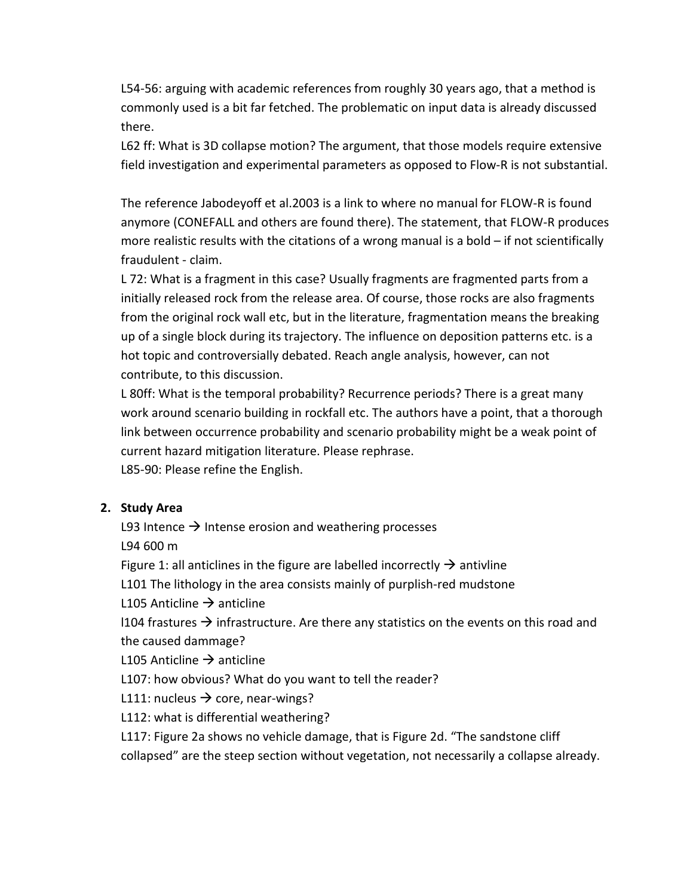L54-56: arguing with academic references from roughly 30 years ago, that a method is commonly used is a bit far fetched. The problematic on input data is already discussed there.

L62 ff: What is 3D collapse motion? The argument, that those models require extensive field investigation and experimental parameters as opposed to Flow-R is not substantial.

The reference Jabodeyoff et al.2003 is a link to where no manual for FLOW-R is found anymore (CONEFALL and others are found there). The statement, that FLOW-R produces more realistic results with the citations of a wrong manual is a bold  $-$  if not scientifically fraudulent - claim.

L 72: What is a fragment in this case? Usually fragments are fragmented parts from a initially released rock from the release area. Of course, those rocks are also fragments from the original rock wall etc, but in the literature, fragmentation means the breaking up of a single block during its trajectory. The influence on deposition patterns etc. is a hot topic and controversially debated. Reach angle analysis, however, can not contribute, to this discussion.

L 80ff: What is the temporal probability? Recurrence periods? There is a great many work around scenario building in rockfall etc. The authors have a point, that a thorough link between occurrence probability and scenario probability might be a weak point of current hazard mitigation literature. Please rephrase.

L85-90: Please refine the English.

## **2. Study Area**

L93 Intence  $\rightarrow$  Intense erosion and weathering processes

L94 600 m

Figure 1: all anticlines in the figure are labelled incorrectly  $\rightarrow$  antivline

L101 The lithology in the area consists mainly of purplish-red mudstone

L105 Anticline  $\rightarrow$  anticline

 $1104$  frastures  $\rightarrow$  infrastructure. Are there any statistics on the events on this road and the caused dammage?

L105 Anticline  $\rightarrow$  anticline

L107: how obvious? What do you want to tell the reader?

L111: nucleus  $\rightarrow$  core, near-wings?

L112: what is differential weathering?

L117: Figure 2a shows no vehicle damage, that is Figure 2d. "The sandstone cliff collapsed" are the steep section without vegetation, not necessarily a collapse already.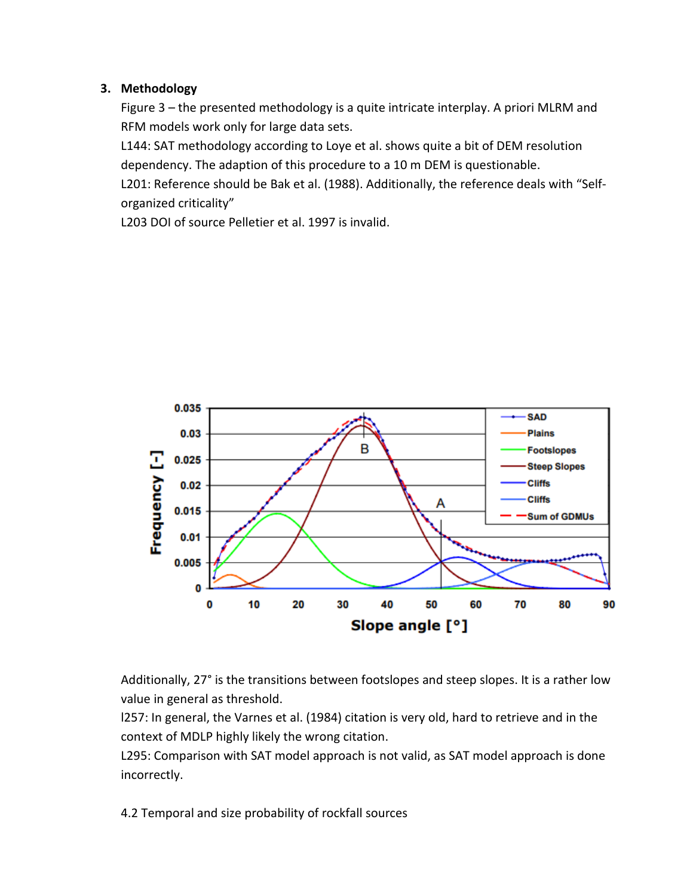## **3. Methodology**

Figure 3 – the presented methodology is a quite intricate interplay. A priori MLRM and RFM models work only for large data sets.

L144: SAT methodology according to Loye et al. shows quite a bit of DEM resolution dependency. The adaption of this procedure to a 10 m DEM is questionable.

L201: Reference should be Bak et al. (1988). Additionally, the reference deals with "Selforganized criticality"

L203 DOI of source Pelletier et al. 1997 is invalid.



Additionally, 27° is the transitions between footslopes and steep slopes. It is a rather low value in general as threshold.

l257: In general, the Varnes et al. (1984) citation is very old, hard to retrieve and in the context of MDLP highly likely the wrong citation.

L295: Comparison with SAT model approach is not valid, as SAT model approach is done incorrectly.

4.2 Temporal and size probability of rockfall sources